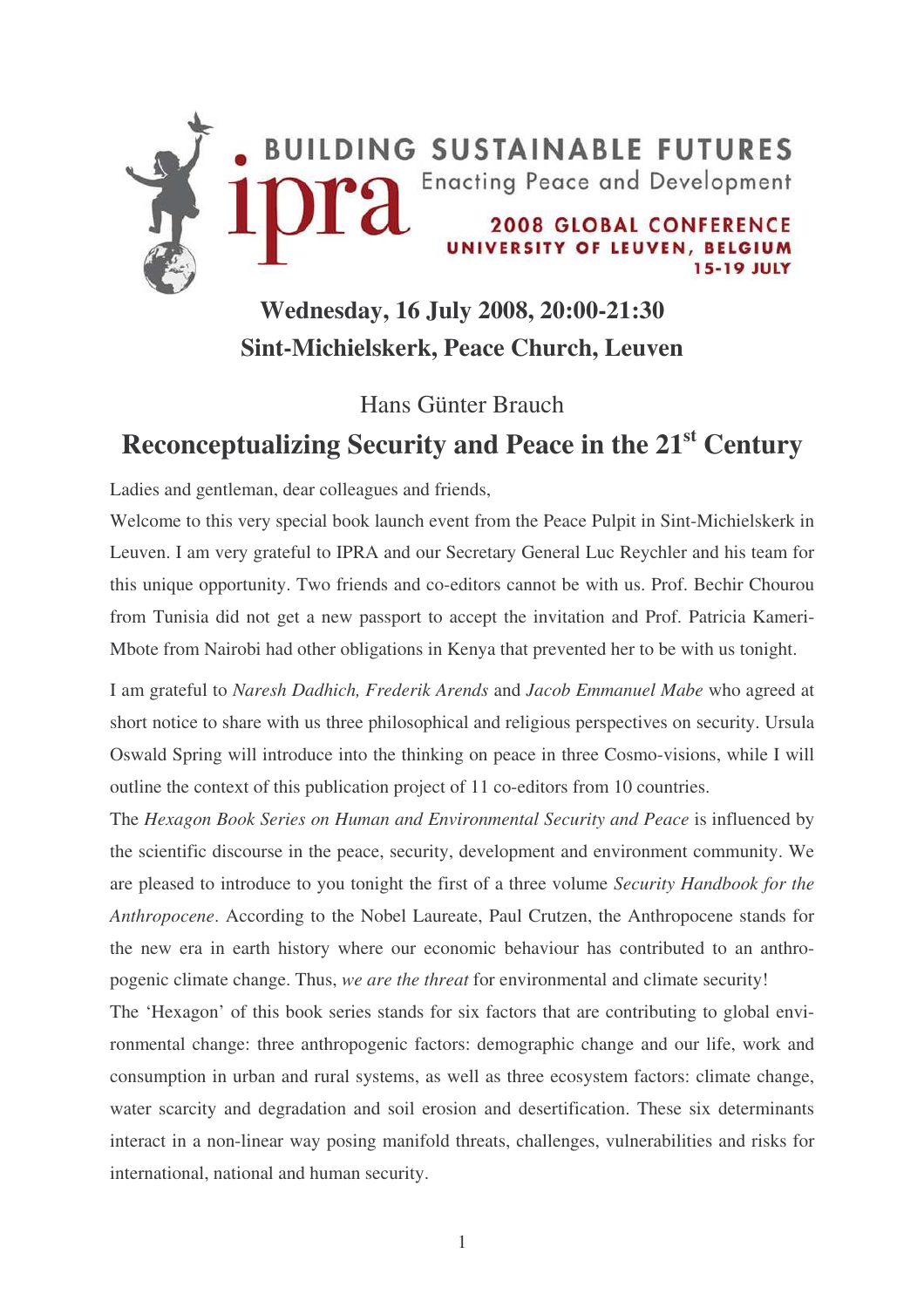

## **Wednesday, 16 July 2008, 20:00-21:30 Sint-Michielskerk, Peace Church, Leuven**

## Hans Günter Brauch **Reconceptualizing Security and Peace in the 21 st Century**

Ladies and gentleman, dear colleagues and friends,

Welcome to this very special book launch event from the Peace Pulpit in Sint-Michielskerk in Leuven. I am very grateful to IPRA and our Secretary General Luc Reychler and his team for this unique opportunity. Two friends and co-editors cannot be with us. Prof. Bechir Chourou from Tunisia did not get a new passport to accept the invitation and Prof. Patricia Kameri-Mbote from Nairobi had other obligations in Kenya that prevented her to be with us tonight.

I am grateful to *Naresh Dadhich, Frederik Arends* and *Jacob Emmanuel Mabe* who agreed at short notice to share with us three philosophical and religious perspectives on security. Ursula Oswald Spring will introduce into the thinking on peace in three Cosmo-visions, while I will outline the context of this publication project of 11 co-editors from 10 countries.

The *Hexagon Book Series on Human and Environmental Security and Peace* is influenced by the scientific discourse in the peace, security, development and environment community. We are pleased to introduce to you tonight the first of a three volume *Security Handbook for the Anthropocene*. According to the Nobel Laureate, Paul Crutzen, the Anthropocene stands for the new era in earth history where our economic behaviour has contributed to an anthropogenic climate change. Thus, *we are the threat* for environmental and climate security!

The 'Hexagon' of this book series stands for six factors that are contributing to global environmental change: three anthropogenic factors: demographic change and our life, work and consumption in urban and rural systems, as well as three ecosystem factors: climate change, water scarcity and degradation and soil erosion and desertification. These six determinants interact in a non-linear way posing manifold threats, challenges, vulnerabilities and risks for international, national and human security.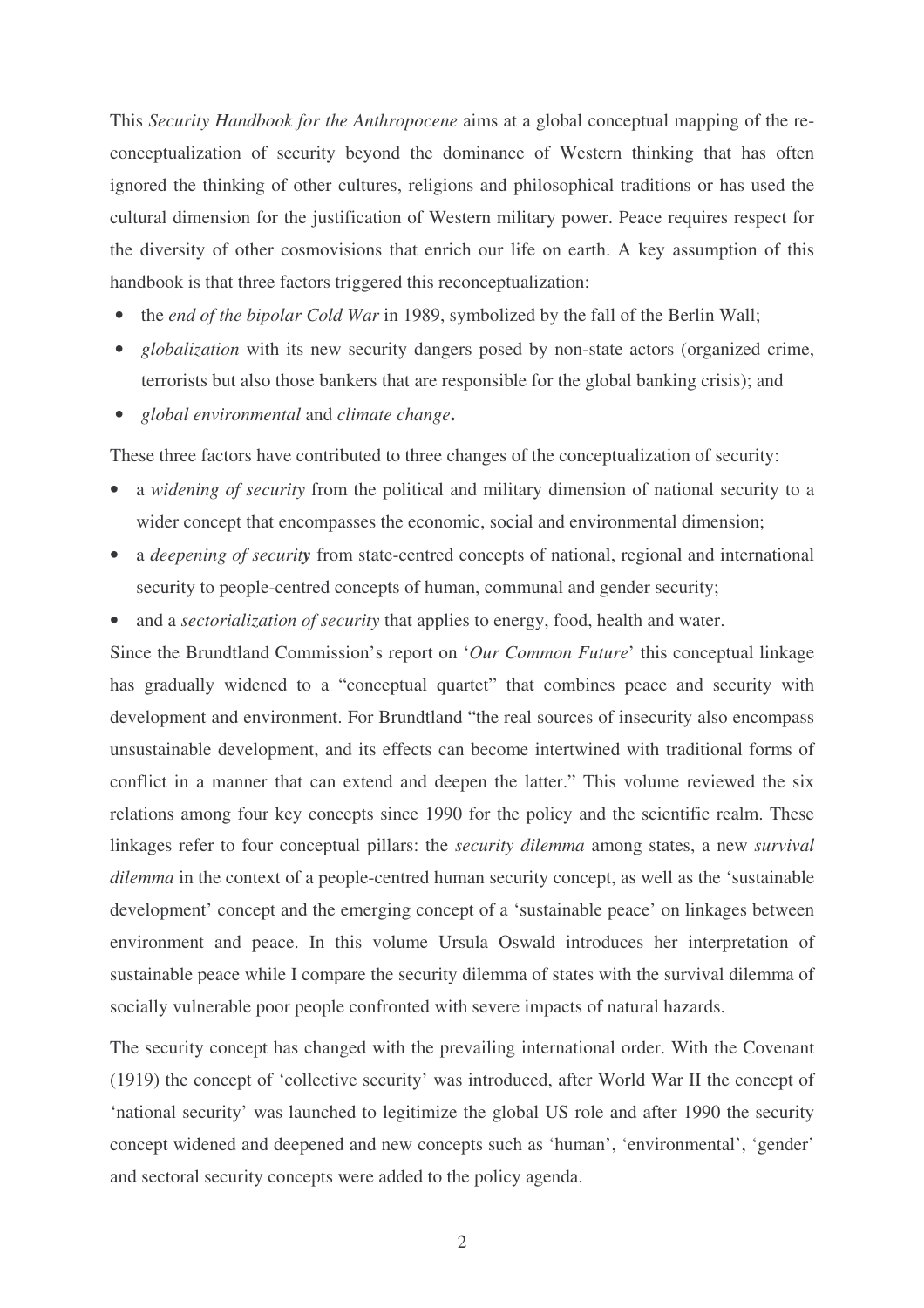This *Security Handbook for the Anthropocene* aims at a global conceptual mapping of the reconceptualization of security beyond the dominance of Western thinking that has often ignored the thinking of other cultures, religions and philosophical traditions or has used the cultural dimension for the justification of Western military power. Peace requires respect for the diversity of other cosmovisions that enrich our life on earth. A key assumption of this handbook is that three factors triggered this reconceptualization:

- the *end of the bipolar Cold War* in 1989, symbolized by the fall of the Berlin Wall;
- *globalization* with its new security dangers posed by non-state actors (organized crime, terrorists but also those bankers that are responsible for the global banking crisis); and
- *global environmental* and *climate change***.**

These three factors have contributed to three changes of the conceptualization of security:

- a *widening of security* from the political and military dimension of national security to a wider concept that encompasses the economic, social and environmental dimension;
- a *deepening* of *security* from state-centred concepts of national, regional and international security to people-centred concepts of human, communal and gender security;
- and a *sectorialization of security* that applies to energy, food, health and water.

Since the Brundtland Commission's report on '*Our Common Future*' this conceptual linkage has gradually widened to a "conceptual quartet" that combines peace and security with development and environment. For Brundtland "the real sources of insecurity also encompass unsustainable development, and its effects can become intertwined with traditional forms of conflict in a manner that can extend and deepen the latter." This volume reviewed the six relations among four key concepts since 1990 for the policy and the scientific realm. These linkages refer to four conceptual pillars: the *security dilemma* among states, a new *survival dilemma* in the context of a people-centred human security concept, as well as the 'sustainable development' concept and the emerging concept of a 'sustainable peace' on linkages between environment and peace. In this volume Ursula Oswald introduces her interpretation of sustainable peace while I compare the security dilemma of states with the survival dilemma of socially vulnerable poor people confronted with severe impacts of natural hazards.

The security concept has changed with the prevailing international order. With the Covenant (1919) the concept of 'collective security' was introduced, after World War II the concept of 'national security' was launched to legitimize the global US role and after 1990 the security concept widened and deepened and new concepts such as 'human', 'environmental', 'gender' and sectoral security concepts were added to the policy agenda.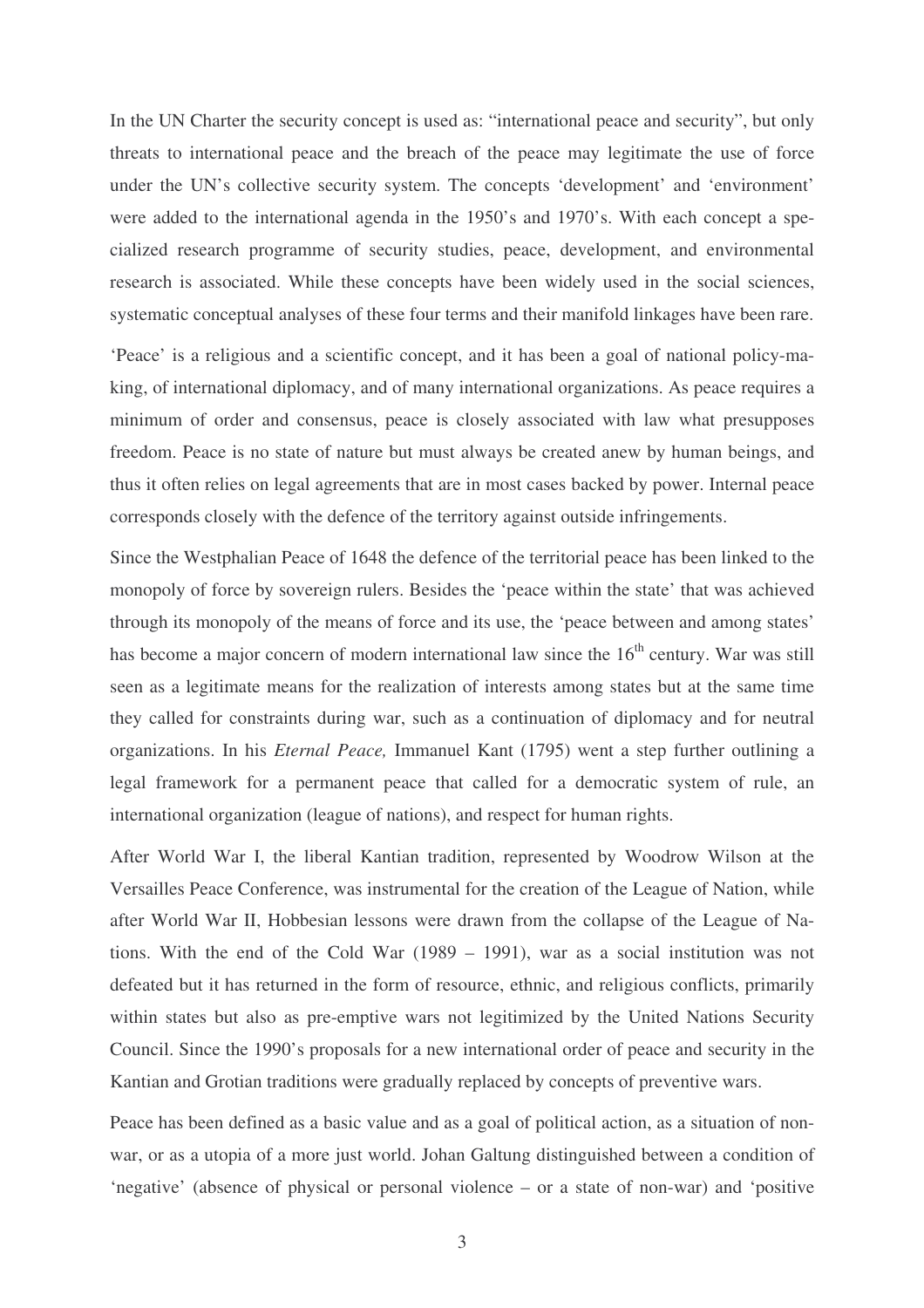In the UN Charter the security concept is used as: "international peace and security", but only threats to international peace and the breach of the peace may legitimate the use of force under the UN's collective security system. The concepts 'development' and 'environment' were added to the international agenda in the 1950's and 1970's. With each concept a specialized research programme of security studies, peace, development, and environmental research is associated. While these concepts have been widely used in the social sciences, systematic conceptual analyses of these four terms and their manifold linkages have been rare.

'Peace' is a religious and a scientific concept, and it has been a goal of national policy-making, of international diplomacy, and of many international organizations. As peace requires a minimum of order and consensus, peace is closely associated with law what presupposes freedom. Peace is no state of nature but must always be created anew by human beings, and thus it often relies on legal agreements that are in most cases backed by power. Internal peace corresponds closely with the defence of the territory against outside infringements.

Since the Westphalian Peace of 1648 the defence of the territorial peace has been linked to the monopoly of force by sovereign rulers. Besides the 'peace within the state' that was achieved through its monopoly of the means of force and its use, the 'peace between and among states' has become a major concern of modern international law since the 16<sup>th</sup> century. War was still seen as a legitimate means for the realization of interests among states but at the same time they called for constraints during war, such as a continuation of diplomacy and for neutral organizations. In his *Eternal Peace,* Immanuel Kant (1795) went a step further outlining a legal framework for a permanent peace that called for a democratic system of rule, an international organization (league of nations), and respect for human rights.

After World War I, the liberal Kantian tradition, represented by Woodrow Wilson at the Versailles Peace Conference, was instrumental for the creation of the League of Nation, while after World War II, Hobbesian lessons were drawn from the collapse of the League of Nations. With the end of the Cold War (1989 – 1991), war as a social institution was not defeated but it has returned in the form of resource, ethnic, and religious conflicts, primarily within states but also as pre-emptive wars not legitimized by the United Nations Security Council. Since the 1990's proposals for a new international order of peace and security in the Kantian and Grotian traditions were gradually replaced by concepts of preventive wars.

Peace has been defined as a basic value and as a goal of political action, as a situation of nonwar, or as a utopia of a more just world. Johan Galtung distinguished between a condition of 'negative' (absence of physical or personal violence – or a state of non-war) and 'positive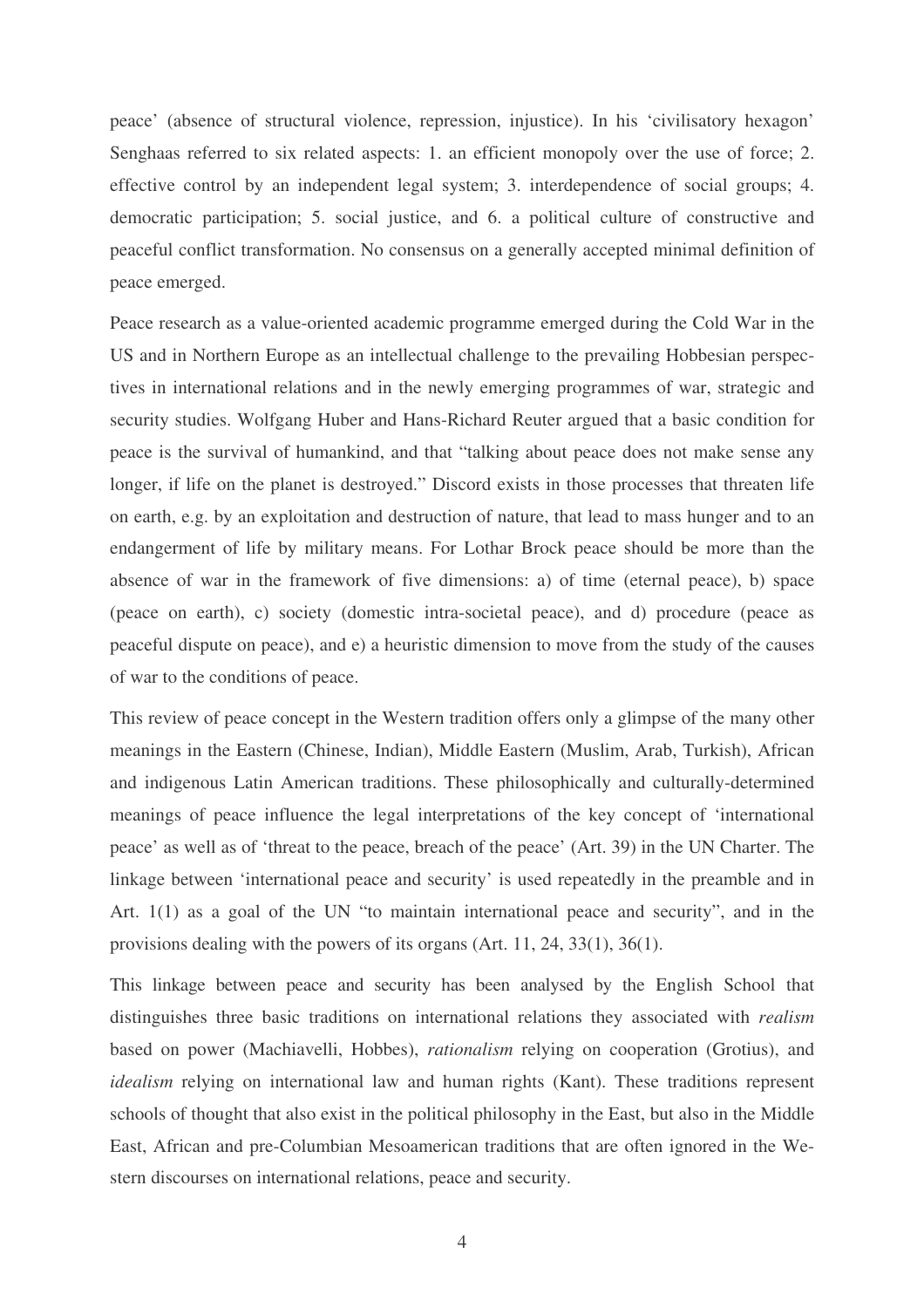peace' (absence of structural violence, repression, injustice). In his 'civilisatory hexagon' Senghaas referred to six related aspects: 1. an efficient monopoly over the use of force; 2. effective control by an independent legal system; 3. interdependence of social groups; 4. democratic participation; 5. social justice, and 6. a political culture of constructive and peaceful conflict transformation. No consensus on a generally accepted minimal definition of peace emerged.

Peace research as a value-oriented academic programme emerged during the Cold War in the US and in Northern Europe as an intellectual challenge to the prevailing Hobbesian perspectives in international relations and in the newly emerging programmes of war, strategic and security studies. Wolfgang Huber and Hans-Richard Reuter argued that a basic condition for peace is the survival of humankind, and that "talking about peace does not make sense any longer, if life on the planet is destroyed." Discord exists in those processes that threaten life on earth, e.g. by an exploitation and destruction of nature, that lead to mass hunger and to an endangerment of life by military means. For Lothar Brock peace should be more than the absence of war in the framework of five dimensions: a) of time (eternal peace), b) space (peace on earth), c) society (domestic intra-societal peace), and d) procedure (peace as peaceful dispute on peace), and e) a heuristic dimension to move from the study of the causes of war to the conditions of peace.

This review of peace concept in the Western tradition offers only a glimpse of the many other meanings in the Eastern (Chinese, Indian), Middle Eastern (Muslim, Arab, Turkish), African and indigenous Latin American traditions. These philosophically and culturally-determined meanings of peace influence the legal interpretations of the key concept of 'international peace' as well as of 'threat to the peace, breach of the peace' (Art. 39) in the UN Charter. The linkage between 'international peace and security' is used repeatedly in the preamble and in Art. 1(1) as a goal of the UN "to maintain international peace and security", and in the provisions dealing with the powers of its organs (Art. 11, 24, 33(1), 36(1).

This linkage between peace and security has been analysed by the English School that distinguishes three basic traditions on international relations they associated with *realism* based on power (Machiavelli, Hobbes), *rationalism* relying on cooperation (Grotius), and *idealism* relying on international law and human rights (Kant). These traditions represent schools of thought that also exist in the political philosophy in the East, but also in the Middle East, African and pre-Columbian Mesoamerican traditions that are often ignored in the Western discourses on international relations, peace and security.